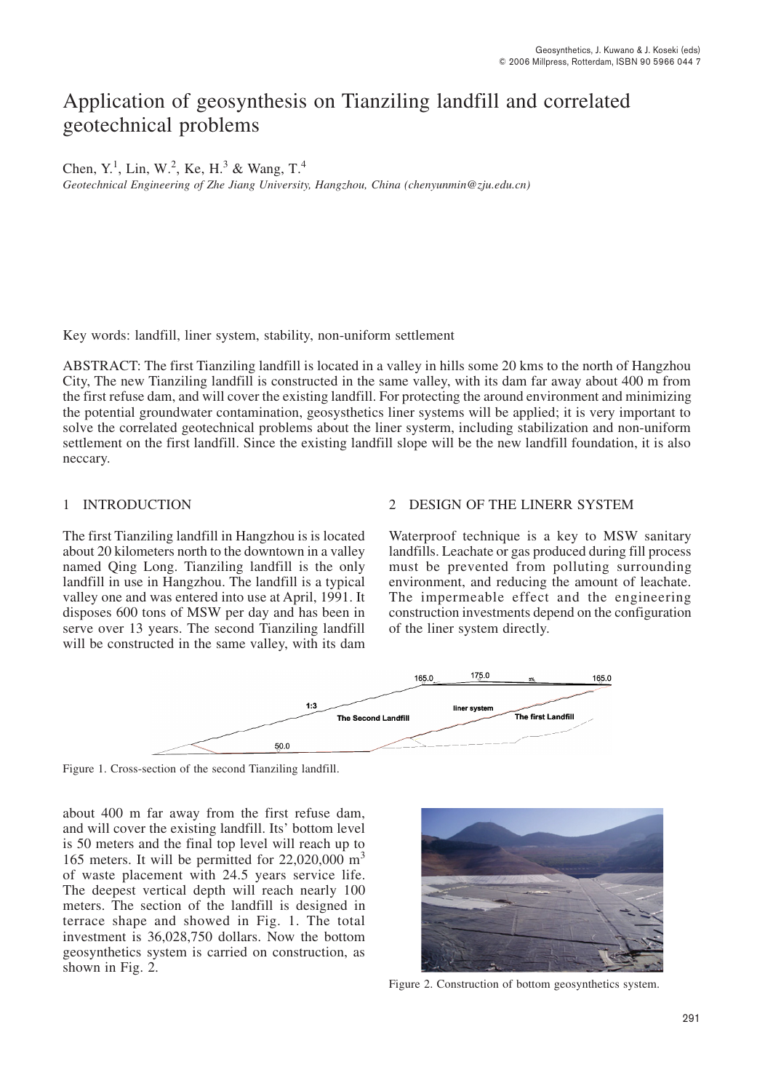# Application of geosynthesis on Tianziling landfill and correlated geotechnical problems

Chen, Y.<sup>1</sup>, Lin, W.<sup>2</sup>, Ke, H.<sup>3</sup> & Wang, T.<sup>4</sup>

Geotechnical Engineering of Zhe Jiang University, Hangzhou, China (chenyunmin@zju.edu.cn)

Key words: landfill, liner system, stability, non-uniform settlement

ABSTRACT: The first Tianziling landfill is located in a valley in hills some 20 kms to the north of Hangzhou City, The new Tianziling landfill is constructed in the same valley, with its dam far away about 400 m from the first refuse dam, and will cover the existing landfill. For protecting the around environment and minimizing the potential groundwater contamination, geosysthetics liner systems will be applied; it is very important to solve the correlated geotechnical problems about the liner system, including stabilization and non-uniform settlement on the first landfill. Since the existing landfill slope will be the new landfill foundation, it is also neccary.

#### $\mathbf{1}$ **INTRODUCTION**

The first Tianziling landfill in Hangzhou is is located about 20 kilometers north to the downtown in a valley named Oing Long. Tianziling landfill is the only landfill in use in Hangzhou. The landfill is a typical valley one and was entered into use at April, 1991. It disposes 600 tons of MSW per day and has been in serve over 13 years. The second Tianziling landfill will be constructed in the same valley, with its dam

# 2 DESIGN OF THE LINERR SYSTEM

Waterproof technique is a key to MSW sanitary landfills. Leachate or gas produced during fill process must be prevented from polluting surrounding environment, and reducing the amount of leachate. The impermeable effect and the engineering construction investments depend on the configuration of the liner system directly.



Figure 1. Cross-section of the second Tianziling landfill.

about 400 m far away from the first refuse dam, and will cover the existing landfill. Its' bottom level is 50 meters and the final top level will reach up to 165 meters. It will be permitted for  $22,020,000$  m<sup>3</sup> of waste placement with 24.5 years service life. The deepest vertical depth will reach nearly 100 meters. The section of the landfill is designed in terrace shape and showed in Fig. 1. The total investment is 36,028,750 dollars. Now the bottom geosynthetics system is carried on construction, as shown in Fig. 2.



Figure 2. Construction of bottom geosynthetics system.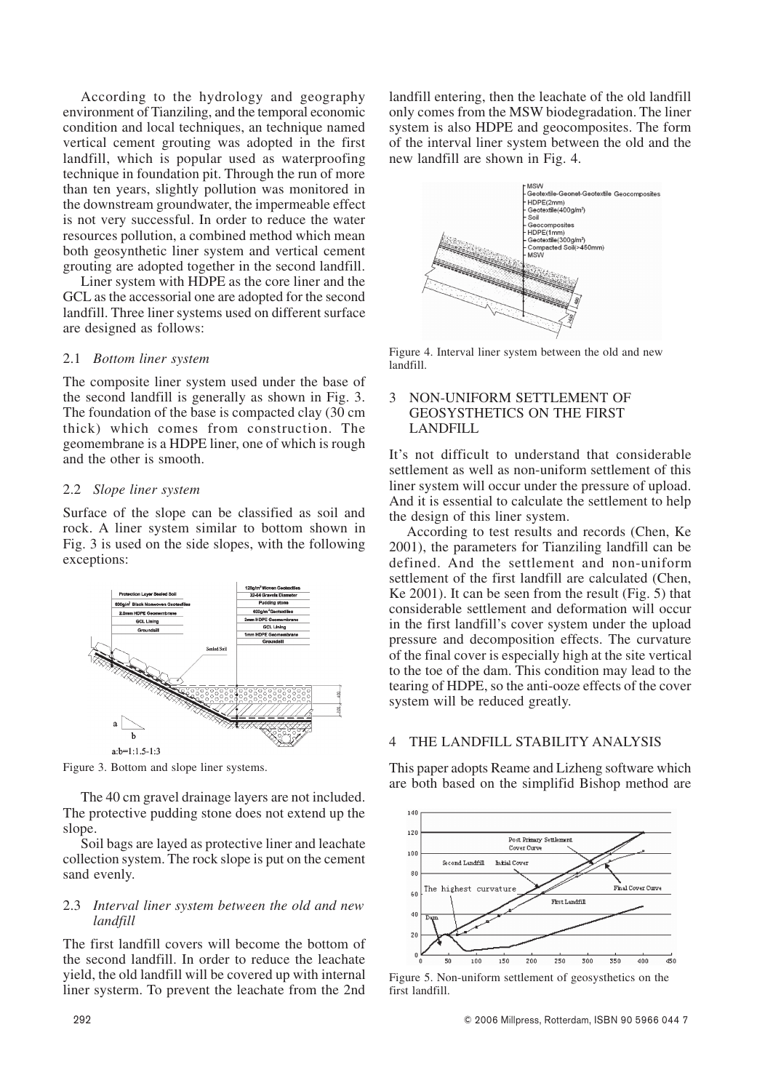According to the hydrology and geography environment of Tianziling, and the temporal economic condition and local techniques, an technique named vertical cement grouting was adopted in the first landfill, which is popular used as waterproofing technique in foundation pit. Through the run of more than ten years, slightly pollution was monitored in the downstream groundwater, the impermeable effect is not very successful. In order to reduce the water resources pollution, a combined method which mean both geosynthetic liner system and vertical cement grouting are adopted together in the second landfill.

Liner system with HDPE as the core liner and the GCL as the accessorial one are adopted for the second landfill. Three liner systems used on different surface are designed as follows:

# 2.1 *Bottom liner system*

The composite liner system used under the base of the second landfill is generally as shown in Fig. 3. The foundation of the base is compacted clay (30 cm thick) which comes from construction. The geomembrane is a HDPE liner, one of which is rough and the other is smooth.

# 2.2 *Slope liner system*

Surface of the slope can be classified as soil and rock. A liner system similar to bottom shown in Fig. 3 is used on the side slopes, with the following exceptions:



Figure 3. Bottom and slope liner systems.

The 40 cm gravel drainage layers are not included. The protective pudding stone does not extend up the slope.

Soil bags are layed as protective liner and leachate collection system. The rock slope is put on the cement sand evenly.

## 2.3 *Interval liner system between the old and new landfill*

The first landfill covers will become the bottom of the second landfill. In order to reduce the leachate yield, the old landfill will be covered up with internal liner systerm. To prevent the leachate from the 2nd

landfill entering, then the leachate of the old landfill only comes from the MSW biodegradation. The liner system is also HDPE and geocomposites. The form of the interval liner system between the old and the new landfill are shown in Fig. 4.



Figure 4. Interval liner system between the old and new landfill.

# 3 NON-UNIFORM SETTLEMENT OF GEOSYSTHETICS ON THE FIRST LANDFILL

It's not difficult to understand that considerable settlement as well as non-uniform settlement of this liner system will occur under the pressure of upload. And it is essential to calculate the settlement to help the design of this liner system.

According to test results and records (Chen, Ke 2001), the parameters for Tianziling landfill can be defined. And the settlement and non-uniform settlement of the first landfill are calculated (Chen, Ke 2001). It can be seen from the result (Fig. 5) that considerable settlement and deformation will occur in the first landfill's cover system under the upload pressure and decomposition effects. The curvature of the final cover is especially high at the site vertical to the toe of the dam. This condition may lead to the tearing of HDPE, so the anti-ooze effects of the cover system will be reduced greatly.

# 4 THE LANDFILL STABILITY ANALYSIS

This paper adopts Reame and Lizheng software which are both based on the simplifid Bishop method are



Figure 5. Non-uniform settlement of geosysthetics on the first landfill.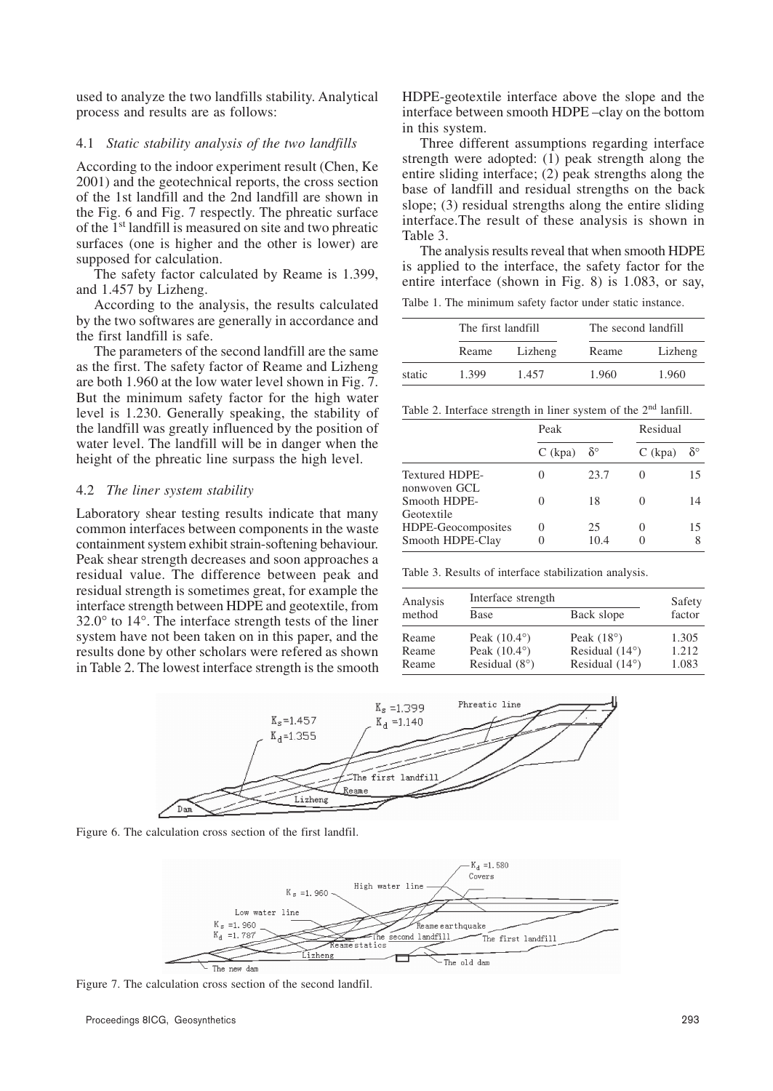used to analyze the two landfills stability. Analytical process and results are as follows:

#### 4.1 *Static stability analysis of the two landfills*

According to the indoor experiment result (Chen, Ke 2001) and the geotechnical reports, the cross section of the 1st landfill and the 2nd landfill are shown in the Fig. 6 and Fig. 7 respectly. The phreatic surface of the 1st landfill is measured on site and two phreatic surfaces (one is higher and the other is lower) are supposed for calculation.

The safety factor calculated by Reame is 1.399, and 1.457 by Lizheng.

According to the analysis, the results calculated by the two softwares are generally in accordance and the first landfill is safe.

The parameters of the second landfill are the same as the first. The safety factor of Reame and Lizheng are both 1.960 at the low water level shown in Fig. 7. But the minimum safety factor for the high water level is 1.230. Generally speaking, the stability of the landfill was greatly influenced by the position of water level. The landfill will be in danger when the height of the phreatic line surpass the high level.

#### 4.2 *The liner system stability*

Laboratory shear testing results indicate that many common interfaces between components in the waste containment system exhibit strain-softening behaviour. Peak shear strength decreases and soon approaches a residual value. The difference between peak and residual strength is sometimes great, for example the interface strength between HDPE and geotextile, from 32.0° to 14°. The interface strength tests of the liner system have not been taken on in this paper, and the results done by other scholars were refered as shown in Table 2. The lowest interface strength is the smooth HDPE-geotextile interface above the slope and the interface between smooth HDPE –clay on the bottom in this system.

Three different assumptions regarding interface strength were adopted:  $(1)$  peak strength along the entire sliding interface; (2) peak strengths along the base of landfill and residual strengths on the back slope; (3) residual strengths along the entire sliding interface.The result of these analysis is shown in Table 3.

The analysis results reveal that when smooth HDPE is applied to the interface, the safety factor for the entire interface (shown in Fig. 8) is 1.083, or say,

Talbe 1. The minimum safety factor under static instance.

|        | The first landfill |         | The second landfill |         |
|--------|--------------------|---------|---------------------|---------|
|        | Reame              | Lizheng | Reame               | Lizheng |
| static | 1.399              | 1.457   | 1.960               | 1.960   |

Table 2. Interface strength in liner system of the 2<sup>nd</sup> lanfill.

|                                        | Peak      |                  |           | Residual         |  |
|----------------------------------------|-----------|------------------|-----------|------------------|--|
|                                        | $C$ (kpa) | $\delta^{\circ}$ | $C$ (kpa) | $\delta^{\circ}$ |  |
| <b>Textured HDPE-</b><br>nonwoven GCL  | O         | 23.7             |           | 15               |  |
| Smooth HDPE-<br>Geotextile             |           | 18               |           | 14               |  |
| HDPE-Geocomposites<br>Smooth HDPE-Clay | 0<br>0    | 25<br>10.4       |           | 15               |  |

Table 3. Results of interface stabilization analysis.

| Analysis | Interface strength     |                         | Safety<br>factor |
|----------|------------------------|-------------------------|------------------|
| method   | Base                   | Back slope              |                  |
| Reame    | Peak $(10.4^{\circ})$  | Peak $(18^{\circ})$     | 1.305            |
| Reame    | Peak $(10.4^{\circ})$  | Residual $(14^{\circ})$ | 1.212            |
| Reame    | Residual $(8^{\circ})$ | Residual $(14^{\circ})$ | 1.083            |



Figure 6. The calculation cross section of the first landfil.



Figure 7. The calculation cross section of the second landfil.